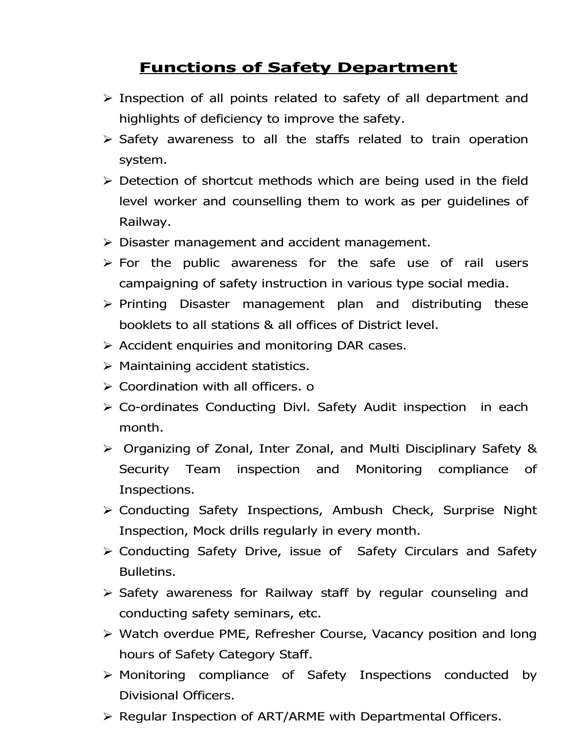## Functions of Safety Department

- $\triangleright$  Inspection of all points related to safety of all department and highlights of deficiency to improve the safety.
- $\triangleright$  Safety awareness to all the staffs related to train operation system.
- $\triangleright$  Detection of shortcut methods which are being used in the field level worker and counselling them to work as per guidelines of Railway.
- $\triangleright$  Disaster management and accident management.
- $\triangleright$  For the public awareness for the safe use of rail users campaigning of safety instruction in various type social media.
- $\triangleright$  Printing Disaster management plan and distributing these booklets to all stations & all offices of District level.
- $\triangleright$  Accident enquiries and monitoring DAR cases.
- $\triangleright$  Maintaining accident statistics.
- $\triangleright$  Coordination with all officers. o
- $\triangleright$  Co-ordinates Conducting Divl. Safety Audit inspection in each month.
- Organizing of Zonal, Inter Zonal, and Multi Disciplinary Safety & Security Team inspection and Monitoring compliance of Inspections.
- Conducting Safety Inspections, Ambush Check, Surprise Night Inspection, Mock drills regularly in every month.
- $\triangleright$  Conducting Safety Drive, issue of Safety Circulars and Safety Bulletins.
- $\triangleright$  Safety awareness for Railway staff by regular counseling and conducting safety seminars, etc.
- Watch overdue PME, Refresher Course, Vacancy position and long hours of Safety Category Staff.
- Monitoring compliance of Safety Inspections conducted by Divisional Officers.
- $\triangleright$  Regular Inspection of ART/ARME with Departmental Officers.